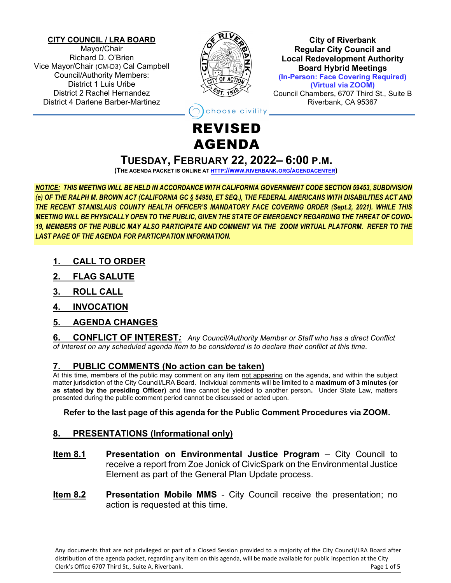#### **CITY COUNCIL / LRA BOARD**

Mayor/Chair Richard D. O'Brien Vice Mayor/Chair (CM-D3) Cal Campbell Council/Authority Members: District 1 Luis Uribe District 2 Rachel Hernandez District 4 Darlene Barber-Martinez



**City of Riverbank Regular City Council and Local Redevelopment Authority Board Hybrid Meetings (In-Person: Face Covering Required) (Virtual via ZOOM)** Council Chambers, 6707 Third St., Suite B Riverbank, CA 95367

noose civility <mark>\_</mark>

# REVISED AGENDA

## **TUESDAY, FEBRUARY 22, 2022– 6:00 P.M.**

**(THE AGENDA PACKET IS ONLINE AT HTTP://WWW.RIVERBANK.ORG/[AGENDACENTER](http://www.riverbank.org/agendacenter))**

*NOTICE: THIS MEETING WILL BE HELD IN ACCORDANCE WITH CALIFORNIA GOVERNMENT CODE SECTION 59453, SUBDIVISION (e) OF THE RALPH M. BROWN ACT (CALIFORNIA GC § 54950, ET SEQ.), THE FEDERAL AMERICANS WITH DISABILITIES ACT AND THE RECENT STANISLAUS COUNTY HEALTH OFFICER'S MANDATORY FACE COVERING ORDER (Sept.2, 2021). WHILE THIS MEETING WILL BE PHYSICALLY OPEN TO THE PUBLIC, GIVEN THE STATE OF EMERGENCY REGARDING THE THREAT OF COVID-19, MEMBERS OF THE PUBLIC MAY ALSO PARTICIPATE AND COMMENT VIA THE ZOOM VIRTUAL PLATFORM. REFER TO THE LAST PAGE OF THE AGENDA FOR PARTICIPATION INFORMATION.*

- **1. CALL TO ORDER**
- **2. FLAG SALUTE**
- **3. ROLL CALL**
- **4. INVOCATION**
- **5. AGENDA CHANGES**

**6. CONFLICT OF INTEREST***: Any Council/Authority Member or Staff who has a direct Conflict of Interest on any scheduled agenda item to be considered is to declare their conflict at this time.*

## **7. PUBLIC COMMENTS (No action can be taken)**

At this time, members of the public may comment on any item not appearing on the agenda, and within the subject matter jurisdiction of the City Council/LRA Board. Individual comments will be limited to a **maximum of 3 minutes (or as stated by the presiding Officer)** and time cannot be yielded to another person**.** Under State Law, matters presented during the public comment period cannot be discussed or acted upon.

### **Refer to the last page of this agenda for the Public Comment Procedures via ZOOM.**

## **8. PRESENTATIONS (Informational only)**

- **Item 8.1 Presentation on Environmental Justice Program** City Council to receive a report from Zoe Jonick of CivicSpark on the Environmental Justice Element as part of the General Plan Update process.
- **Item 8.2 Presentation Mobile MMS** City Council receive the presentation; no action is requested at this time.

Any documents that are not privileged or part of a Closed Session provided to a majority of the City Council/LRA Board after distribution of the agenda packet, regarding any item on this agenda, will be made available for public inspection at the City Clerk's Office 6707 Third St., Suite A, Riverbank. Page 1 of 5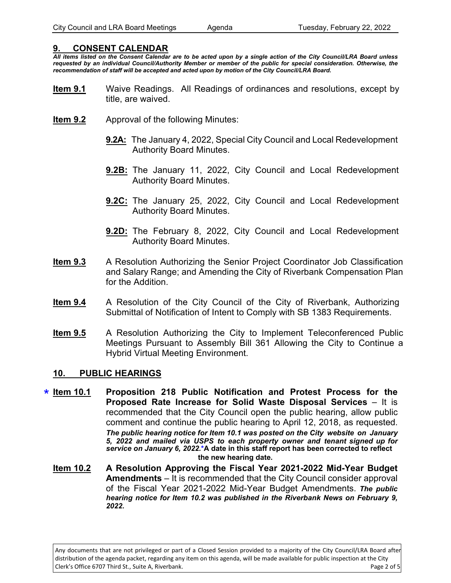#### **9. CONSENT CALENDAR**

*All items listed on the Consent Calendar are to be acted upon by a single action of the City Council/LRA Board unless requested by an individual Council/Authority Member or member of the public for special consideration. Otherwise, the recommendation of staff will be accepted and acted upon by motion of the City Council/LRA Board.* 

- **Item 9.1** Waive Readings. All Readings of ordinances and resolutions, except by title, are waived.
- **Item 9.2** Approval of the following Minutes:
	- **9.2A:** The January 4, 2022, Special City Council and Local Redevelopment Authority Board Minutes.
	- **9.2B:** The January 11, 2022, City Council and Local Redevelopment Authority Board Minutes.
	- **9.2C:** The January 25, 2022, City Council and Local Redevelopment Authority Board Minutes.
	- **9.2D:** The February 8, 2022, City Council and Local Redevelopment Authority Board Minutes.
- **Item 9.3** A Resolution Authorizing the Senior Project Coordinator Job Classification and Salary Range; and Amending the City of Riverbank Compensation Plan for the Addition.
- **Item 9.4** A Resolution of the City Council of the City of Riverbank, Authorizing Submittal of Notification of Intent to Comply with SB 1383 Requirements.
- **Item 9.5** A Resolution Authorizing the City to Implement Teleconferenced Public Meetings Pursuant to Assembly Bill 361 Allowing the City to Continue a Hybrid Virtual Meeting Environment.

#### **10. PUBLIC HEARINGS**

- **Proposition 218 Public Notification and Protest Process for the Proposed Rate Increase for Solid Waste Disposal Services** – It is recommended that the City Council open the public hearing, allow public comment and continue the public hearing to April 12, 2018, as requested. *The public hearing notice for Item 10.1 was posted on the City website on January 5, 2022 and mailed via USPS to each property owner and tenant signed up for*  service on January 6, 2022.\*A date in this staff report has been corrected to reflect  $\star$  Item 10.1 **the new hearing date.**
	- **Item 10.2 A Resolution Approving the Fiscal Year 2021-2022 Mid-Year Budget Amendments** – It is recommended that the City Council consider approval of the Fiscal Year 2021-2022 Mid-Year Budget Amendments. *The public hearing notice for Item 10.2 was published in the Riverbank News on February 9, 2022.*

Any documents that are not privileged or part of a Closed Session provided to a majority of the City Council/LRA Board after distribution of the agenda packet, regarding any item on this agenda, will be made available for public inspection at the City Clerk's Office 6707 Third St., Suite A, Riverbank. Page 2 of 5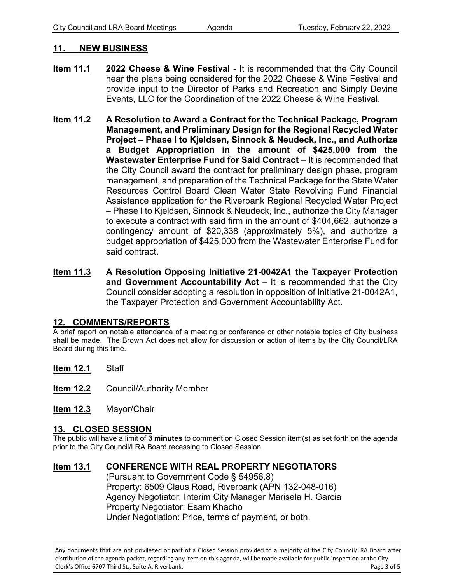#### **11. NEW BUSINESS**

- **Item 11.1 2022 Cheese & Wine Festival** It is recommended that the City Council hear the plans being considered for the 2022 Cheese & Wine Festival and provide input to the Director of Parks and Recreation and Simply Devine Events, LLC for the Coordination of the 2022 Cheese & Wine Festival.
- **Item 11.2 A Resolution to Award a Contract for the Technical Package, Program Management, and Preliminary Design for the Regional Recycled Water Project – Phase I to Kjeldsen, Sinnock & Neudeck, Inc., and Authorize a Budget Appropriation in the amount of \$425,000 from the Wastewater Enterprise Fund for Said Contract** – It is recommended that the City Council award the contract for preliminary design phase, program management, and preparation of the Technical Package for the State Water Resources Control Board Clean Water State Revolving Fund Financial Assistance application for the Riverbank Regional Recycled Water Project – Phase I to Kjeldsen, Sinnock & Neudeck, Inc., authorize the City Manager to execute a contract with said firm in the amount of \$404,662, authorize a contingency amount of \$20,338 (approximately 5%), and authorize a budget appropriation of \$425,000 from the Wastewater Enterprise Fund for said contract.
- **Item 11.3 A Resolution Opposing Initiative 21-0042A1 the Taxpayer Protection and Government Accountability Act** – It is recommended that the City Council consider adopting a resolution in opposition of Initiative 21-0042A1, the Taxpayer Protection and Government Accountability Act.

#### **12. COMMENTS/REPORTS**

A brief report on notable attendance of a meeting or conference or other notable topics of City business shall be made. The Brown Act does not allow for discussion or action of items by the City Council/LRA Board during this time.

**Item 12.1** Staff

**Item 12.2** Council/Authority Member

**Item 12.3** Mayor/Chair

#### **13. CLOSED SESSION**

The public will have a limit of **3 minutes** to comment on Closed Session item(s) as set forth on the agenda prior to the City Council/LRA Board recessing to Closed Session.

## **Item 13.1 CONFERENCE WITH REAL PROPERTY NEGOTIATORS**

(Pursuant to Government Code § 54956.8) Property: 6509 Claus Road, Riverbank (APN 132-048-016) Agency Negotiator: Interim City Manager Marisela H. Garcia Property Negotiator: Esam Khacho Under Negotiation: Price, terms of payment, or both.

Any documents that are not privileged or part of a Closed Session provided to a majority of the City Council/LRA Board after distribution of the agenda packet, regarding any item on this agenda, will be made available for public inspection at the City Clerk's Office 6707 Third St., Suite A, Riverbank. Page 3 of 5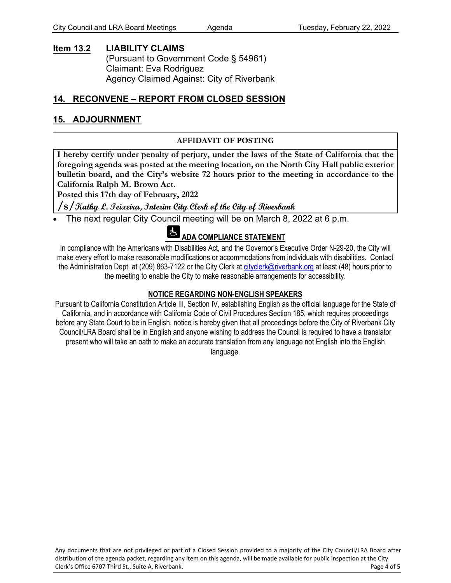#### **Item 13.2 LIABILITY CLAIMS**  (Pursuant to Government Code § 54961) Claimant: Eva Rodriguez Agency Claimed Against: City of Riverbank

## **14. RECONVENE – REPORT FROM CLOSED SESSION**

### **15. ADJOURNMENT**

#### **AFFIDAVIT OF POSTING**

**I hereby certify under penalty of perjury, under the laws of the State of California that the foregoing agenda was posted at the meeting location, on the North City Hall public exterior bulletin board, and the City's website 72 hours prior to the meeting in accordance to the California Ralph M. Brown Act.** 

**Posted this 17th day of February, 2022**

#### **/s/Kathy L. Teixeira, Interim City Clerk of the City of Riverbank**

The next regular City Council meeting will be on March 8, 2022 at 6 p.m.

## **ADA COMPLIANCE STATEMENT**

In compliance with the Americans with Disabilities Act, and the Governor's Executive Order N-29-20, the City will make every effort to make reasonable modifications or accommodations from individuals with disabilities. Contact the Administration Dept. at (209) 863-7122 or the City Clerk at cityclerk[@riverbank.org](mailto:aaguilar@riverbank.org) at least (48) hours prior to the meeting to enable the City to make reasonable arrangements for accessibility.

#### **NOTICE REGARDING NON-ENGLISH SPEAKERS**

Pursuant to California Constitution Article III, Section IV, establishing English as the official language for the State of California, and in accordance with California Code of Civil Procedures Section 185, which requires proceedings before any State Court to be in English, notice is hereby given that all proceedings before the City of Riverbank City Council/LRA Board shall be in English and anyone wishing to address the Council is required to have a translator present who will take an oath to make an accurate translation from any language not English into the English language.

Any documents that are not privileged or part of a Closed Session provided to a majority of the City Council/LRA Board after distribution of the agenda packet, regarding any item on this agenda, will be made available for public inspection at the City Clerk's Office 6707 Third St., Suite A, Riverbank. Page 4 of 5